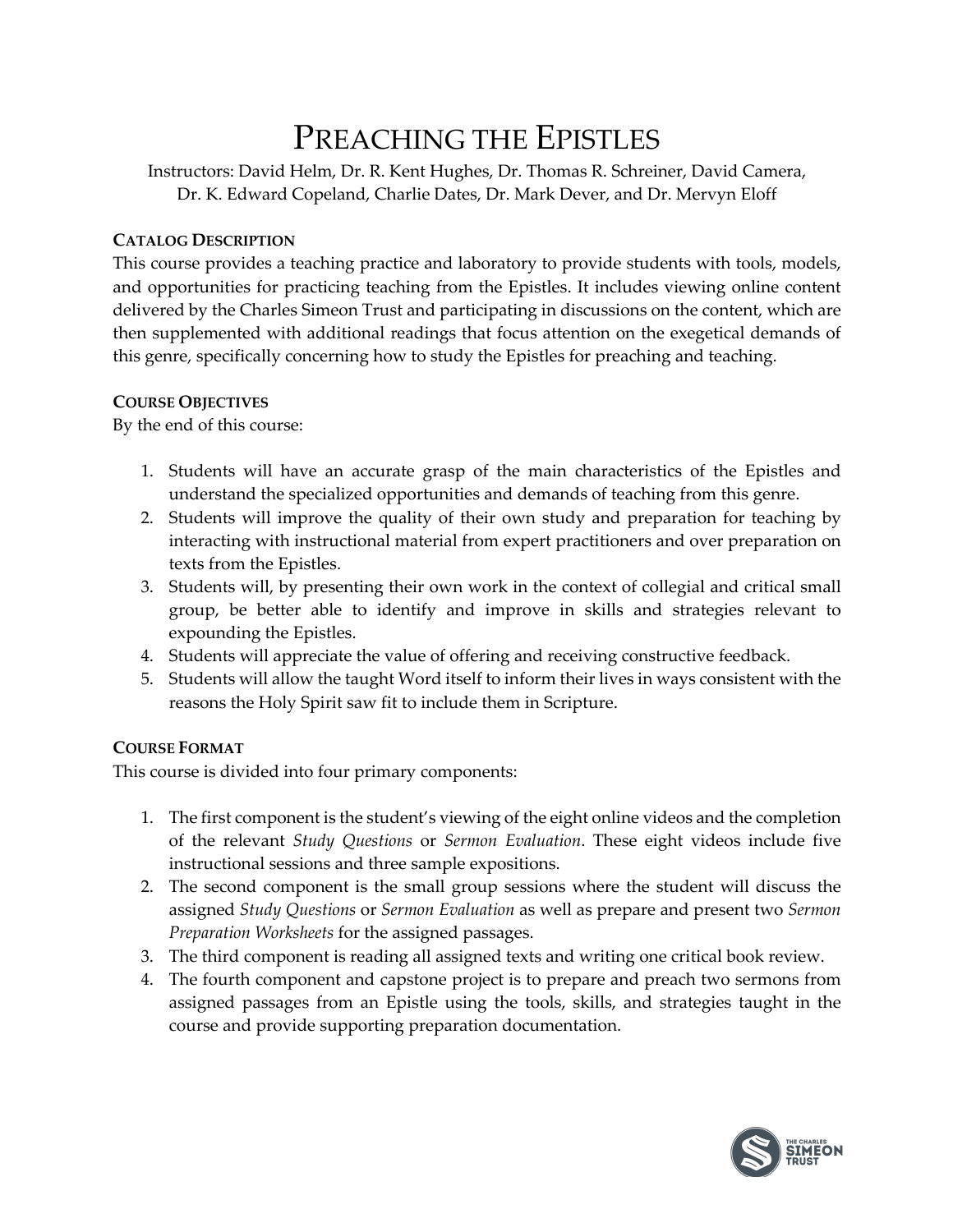# PREACHING THE EPISTLES

Instructors: David Helm, Dr. R. Kent Hughes, Dr. Thomas R. Schreiner, David Camera, Dr. K. Edward Copeland, Charlie Dates, Dr. Mark Dever, and Dr. Mervyn Eloff

### **CATALOG DESCRIPTION**

This course provides a teaching practice and laboratory to provide students with tools, models, and opportunities for practicing teaching from the Epistles. It includes viewing online content delivered by the Charles Simeon Trust and participating in discussions on the content, which are then supplemented with additional readings that focus attention on the exegetical demands of this genre, specifically concerning how to study the Epistles for preaching and teaching.

### **COURSE OBJECTIVES**

By the end of this course:

- 1. Students will have an accurate grasp of the main characteristics of the Epistles and understand the specialized opportunities and demands of teaching from this genre.
- 2. Students will improve the quality of their own study and preparation for teaching by interacting with instructional material from expert practitioners and over preparation on texts from the Epistles.
- 3. Students will, by presenting their own work in the context of collegial and critical small group, be better able to identify and improve in skills and strategies relevant to expounding the Epistles.
- 4. Students will appreciate the value of offering and receiving constructive feedback.
- 5. Students will allow the taught Word itself to inform their lives in ways consistent with the reasons the Holy Spirit saw fit to include them in Scripture.

# **COURSE FORMAT**

This course is divided into four primary components:

- 1. The first component is the student's viewing of the eight online videos and the completion of the relevant *Study Questions* or *Sermon Evaluation*. These eight videos include five instructional sessions and three sample expositions.
- 2. The second component is the small group sessions where the student will discuss the assigned *Study Questions* or *Sermon Evaluation* as well as prepare and present two *Sermon Preparation Worksheets* for the assigned passages.
- 3. The third component is reading all assigned texts and writing one critical book review.
- 4. The fourth component and capstone project is to prepare and preach two sermons from assigned passages from an Epistle using the tools, skills, and strategies taught in the course and provide supporting preparation documentation.

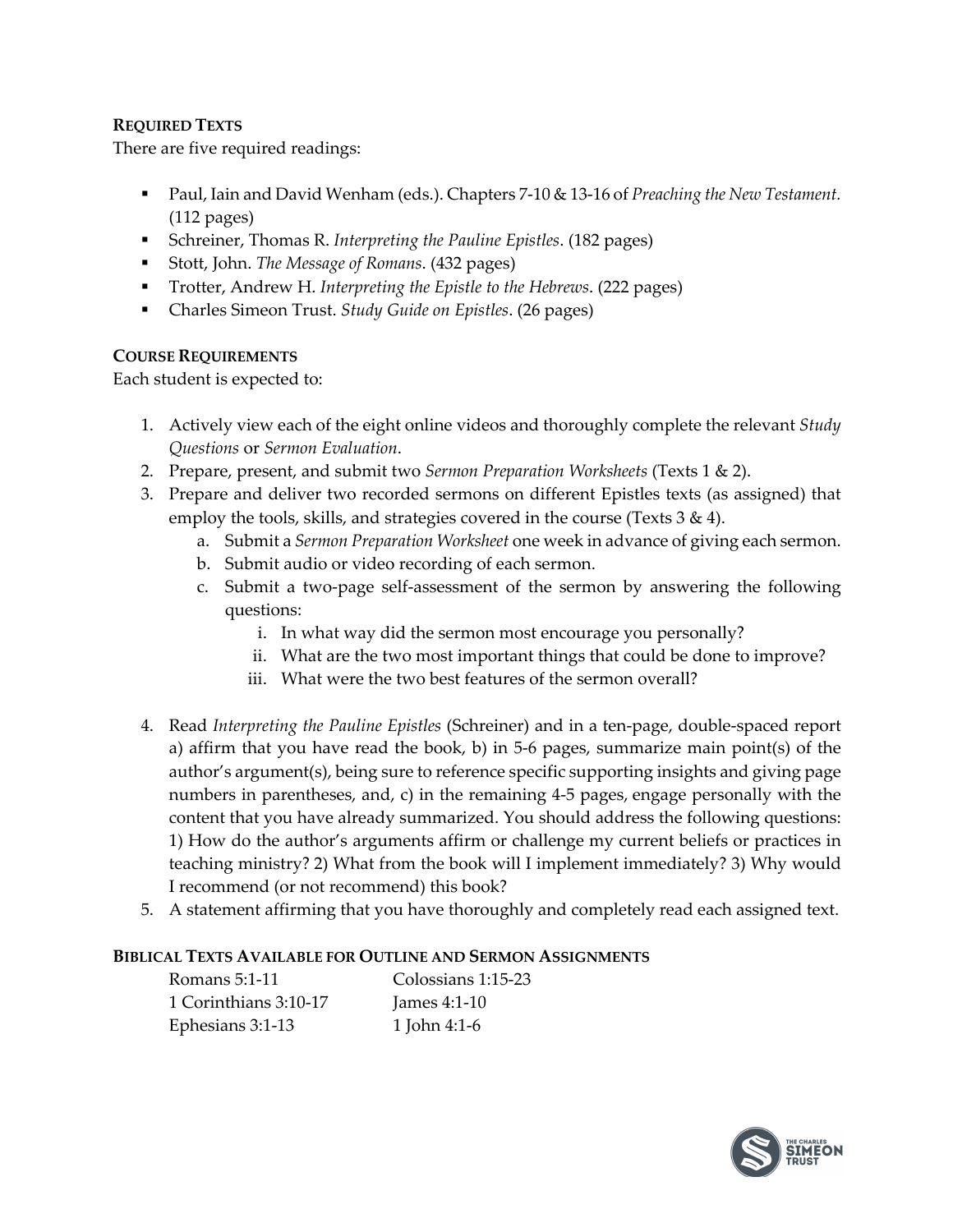# **REQUIRED TEXTS**

There are five required readings:

- Paul, Iain and David Wenham (eds.). Chapters 7-10 & 13-16 of *Preaching the New Testament*. (112 pages)
- § Schreiner, Thomas R. *Interpreting the Pauline Epistles*. (182 pages)
- § Stott, John. *The Message of Romans*. (432 pages)
- § Trotter, Andrew H. *Interpreting the Epistle to the Hebrews*. (222 pages)
- Charles Simeon Trust. *Study Guide on Epistles*. (26 pages)

# **COURSE REQUIREMENTS**

Each student is expected to:

- 1. Actively view each of the eight online videos and thoroughly complete the relevant *Study Questions* or *Sermon Evaluation*.
- 2. Prepare, present, and submit two *Sermon Preparation Worksheets* (Texts 1 & 2).
- 3. Prepare and deliver two recorded sermons on different Epistles texts (as assigned) that employ the tools, skills, and strategies covered in the course (Texts  $3 \& 4$ ).
	- a. Submit a *Sermon Preparation Worksheet* one week in advance of giving each sermon.
	- b. Submit audio or video recording of each sermon.
	- c. Submit a two-page self-assessment of the sermon by answering the following questions:
		- i. In what way did the sermon most encourage you personally?
		- ii. What are the two most important things that could be done to improve?
		- iii. What were the two best features of the sermon overall?
- 4. Read *Interpreting the Pauline Epistles* (Schreiner) and in a ten-page, double-spaced report a) affirm that you have read the book, b) in 5-6 pages, summarize main point(s) of the author's argument(s), being sure to reference specific supporting insights and giving page numbers in parentheses, and, c) in the remaining 4-5 pages, engage personally with the content that you have already summarized. You should address the following questions: 1) How do the author's arguments affirm or challenge my current beliefs or practices in teaching ministry? 2) What from the book will I implement immediately? 3) Why would I recommend (or not recommend) this book?
- 5. A statement affirming that you have thoroughly and completely read each assigned text.

#### **BIBLICAL TEXTS AVAILABLE FOR OUTLINE AND SERMON ASSIGNMENTS**

| Romans 5:1-11         | Colossians 1:15-23 |
|-----------------------|--------------------|
| 1 Corinthians 3:10-17 | James $4:1-10$     |
| Ephesians 3:1-13      | 1 John 4:1-6       |

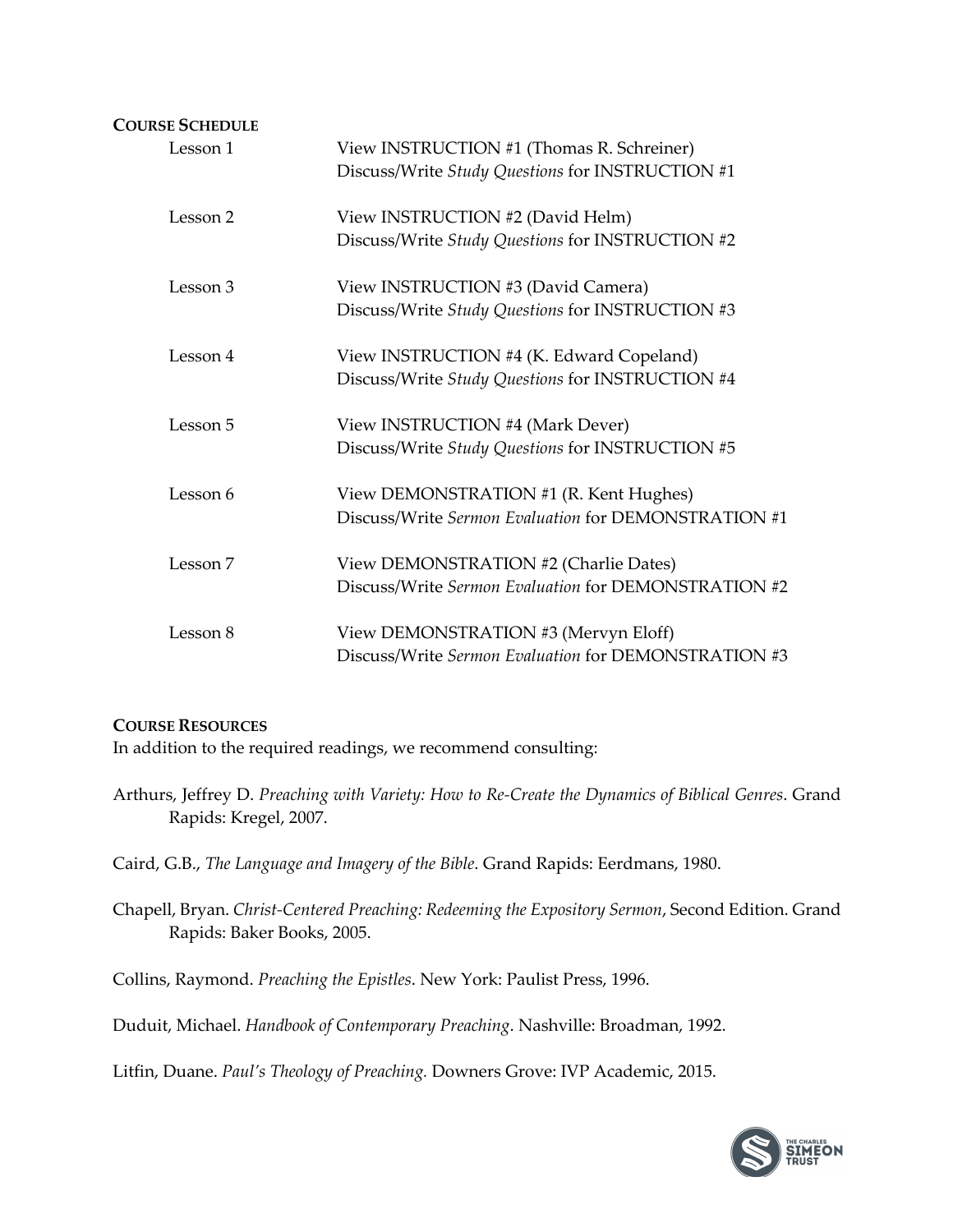| <b>COURSE SCHEDULE</b> |                                                                                                |
|------------------------|------------------------------------------------------------------------------------------------|
| Lesson 1               | View INSTRUCTION #1 (Thomas R. Schreiner)<br>Discuss/Write Study Questions for INSTRUCTION #1  |
| Lesson 2               | View INSTRUCTION #2 (David Helm)<br>Discuss/Write Study Questions for INSTRUCTION #2           |
| Lesson 3               | View INSTRUCTION #3 (David Camera)<br>Discuss/Write Study Questions for INSTRUCTION #3         |
| Lesson 4               | View INSTRUCTION #4 (K. Edward Copeland)<br>Discuss/Write Study Questions for INSTRUCTION #4   |
| Lesson 5               | View INSTRUCTION #4 (Mark Dever)<br>Discuss/Write Study Questions for INSTRUCTION #5           |
| Lesson 6               | View DEMONSTRATION #1 (R. Kent Hughes)<br>Discuss/Write Sermon Evaluation for DEMONSTRATION #1 |
| Lesson 7               | View DEMONSTRATION #2 (Charlie Dates)<br>Discuss/Write Sermon Evaluation for DEMONSTRATION #2  |
| Lesson 8               | View DEMONSTRATION #3 (Mervyn Eloff)<br>Discuss/Write Sermon Evaluation for DEMONSTRATION #3   |

#### **COURSE RESOURCES**

In addition to the required readings, we recommend consulting:

Arthurs, Jeffrey D. *Preaching with Variety: How to Re-Create the Dynamics of Biblical Genres*. Grand Rapids: Kregel, 2007.

Caird, G.B., *The Language and Imagery of the Bible*. Grand Rapids: Eerdmans, 1980.

Chapell, Bryan. *Christ-Centered Preaching: Redeeming the Expository Sermon*, Second Edition. Grand Rapids: Baker Books, 2005.

Collins, Raymond. *Preaching the Epistles*. New York: Paulist Press, 1996.

Duduit, Michael. *Handbook of Contemporary Preaching*. Nashville: Broadman, 1992.

Litfin, Duane. *Paul's Theology of Preaching.* Downers Grove: IVP Academic, 2015.